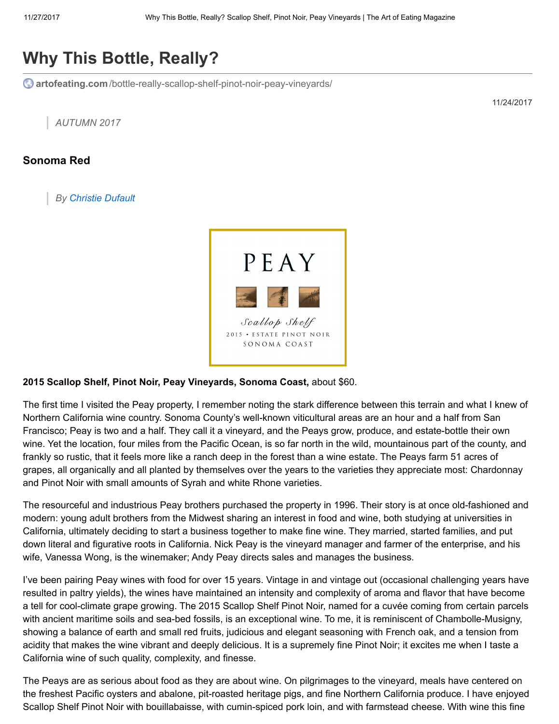## Why This Bottle, Really?

**C** artofeating.com[/bottle-really-scallop-shelf-pinot-noir-peay-vineyards/](https://artofeating.com/bottle-really-scallop-shelf-pinot-noir-peay-vineyards/)

11/24/2017

AUTUMN 2017

## Sonoma Red

By [Christie Dufault](https://artofeating.com/author/christie-dufault/)



## 2015 Scallop Shelf, Pinot Noir, Peay Vineyards, Sonoma Coast, about \$60.

The first time I visited the Peay property, I remember noting the stark difference between this terrain and what I knew of Northern California wine country. Sonoma County's well-known viticultural areas are an hour and a half from San Francisco; Peay is two and a half. They call it a vineyard, and the Peays grow, produce, and estate-bottle their own wine. Yet the location, four miles from the Pacific Ocean, is so far north in the wild, mountainous part of the county, and frankly so rustic, that it feels more like a ranch deep in the forest than a wine estate. The Peays farm 51 acres of grapes, all organically and all planted by themselves over the years to the varieties they appreciate most: Chardonnay and Pinot Noir with small amounts of Syrah and white Rhone varieties.

The resourceful and industrious Peay brothers purchased the property in 1996. Their story is at once old-fashioned and modern: young adult brothers from the Midwest sharing an interest in food and wine, both studying at universities in California, ultimately deciding to start a business together to make fine wine. They married, started families, and put down literal and figurative roots in California. Nick Peay is the vineyard manager and farmer of the enterprise, and his wife, Vanessa Wong, is the winemaker; Andy Peay directs sales and manages the business.

I've been pairing Peay wines with food for over 15 years. Vintage in and vintage out (occasional challenging years have resulted in paltry yields), the wines have maintained an intensity and complexity of aroma and flavor that have become a tell for cool-climate grape growing. The 2015 Scallop Shelf Pinot Noir, named for a cuvée coming from certain parcels with ancient maritime soils and sea-bed fossils, is an exceptional wine. To me, it is reminiscent of Chambolle-Musigny, showing a balance of earth and small red fruits, judicious and elegant seasoning with French oak, and a tension from acidity that makes the wine vibrant and deeply delicious. It is a supremely fine Pinot Noir; it excites me when I taste a California wine of such quality, complexity, and finesse.

The Peays are as serious about food as they are about wine. On pilgrimages to the vineyard, meals have centered on the freshest Pacific oysters and abalone, pit-roasted heritage pigs, and fine Northern California produce. I have enjoyed Scallop Shelf Pinot Noir with bouillabaisse, with cumin-spiced pork loin, and with farmstead cheese. With wine this fine